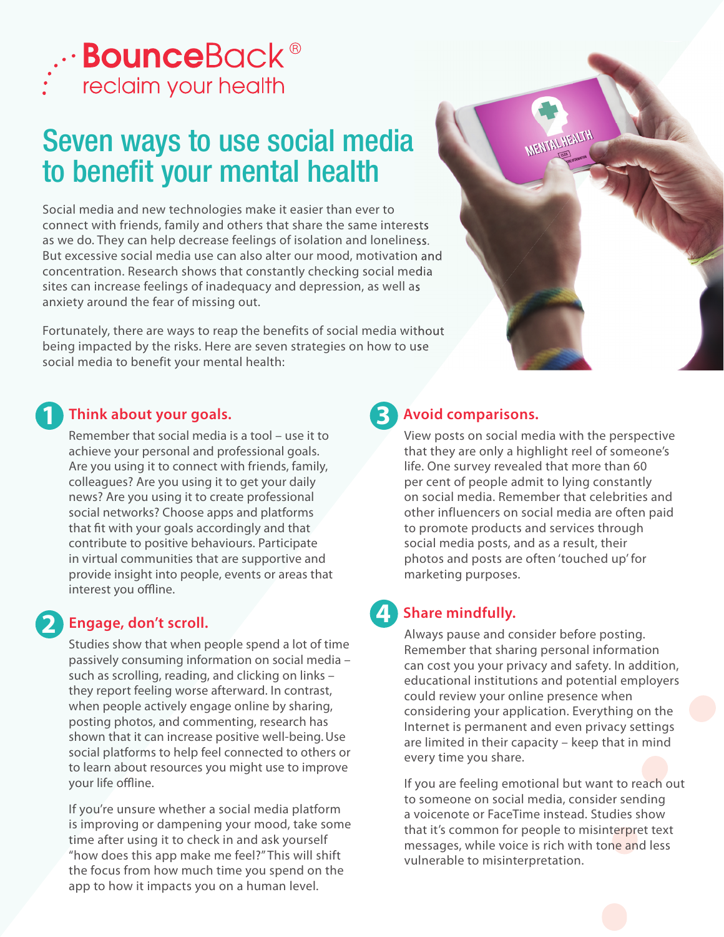

# Seven ways to use social media to benefit your mental health

Social media and new technologies make it easier than ever to connect with friends, family and others that share the same interests as we do. They can help decrease feelings of isolation and loneliness. But excessive social media use can also alter our mood, motivation and concentration. Research shows that constantly checking social media sites can increase feelings of inadequacy and depression, as well as anxiety around the fear of missing out.

Fortunately, there are ways to reap the benefits of social media without being impacted by the risks. Here are seven strategies on how to use social media to benefit your mental health:

#### **Think about your goals. 1**

Remember that social media is a tool – use it to achieve your personal and professional goals. Are you using it to connect with friends, family, colleagues? Are you using it to get your daily news? Are you using it to create professional social networks? Choose apps and platforms that fit with your goals accordingly and that contribute to positive behaviours. Participate in virtual communities that are supportive and provide insight into people, events or areas that interest you offline.

# **2 Engage, don't scroll.**

Studies show that when people spend a lot of time passively consuming information on social media – such as scrolling, reading, and clicking on links – they report feeling worse afterward. In contrast, when people actively engage online by sharing, posting photos, and commenting, research has shown that it can increase positive well-being.Use social platforms to help feel connected to others or to learn about resources you might use to improve your life offline.

If you're unsure whether a social media platform is improving or dampening your mood, take some time after using it to check in and ask yourself "how does this app make me feel?" This will shift the focus from how much time you spend on the app to how it impacts you on a human level.



#### **Avoid comparisons. 3**

View posts on social media with the perspective that they are only a highlight reel of someone's life. One survey revealed that more than 60 per cent of people admit to lying constantly on social media. Remember that celebrities and other influencers on social media are often paid to promote products and services through social media posts, and as a result, their photos and posts are often 'touched up' for marketing purposes.

### **Share mindfully.**

Always pause and consider before posting. Remember that sharing personal information can cost you your privacy and safety. In addition, educational institutions and potential employers could review your online presence when considering your application. Everything on the Internet is permanent and even privacy settings are limited in their capacity – keep that in mind every time you share.

If you are feeling emotional but want to reach out to someone on social media, consider sending a voicenote or FaceTime instead. Studies show that it's common for people to misinterpret text messages, while voice is rich with tone and less vulnerable to misinterpretation.